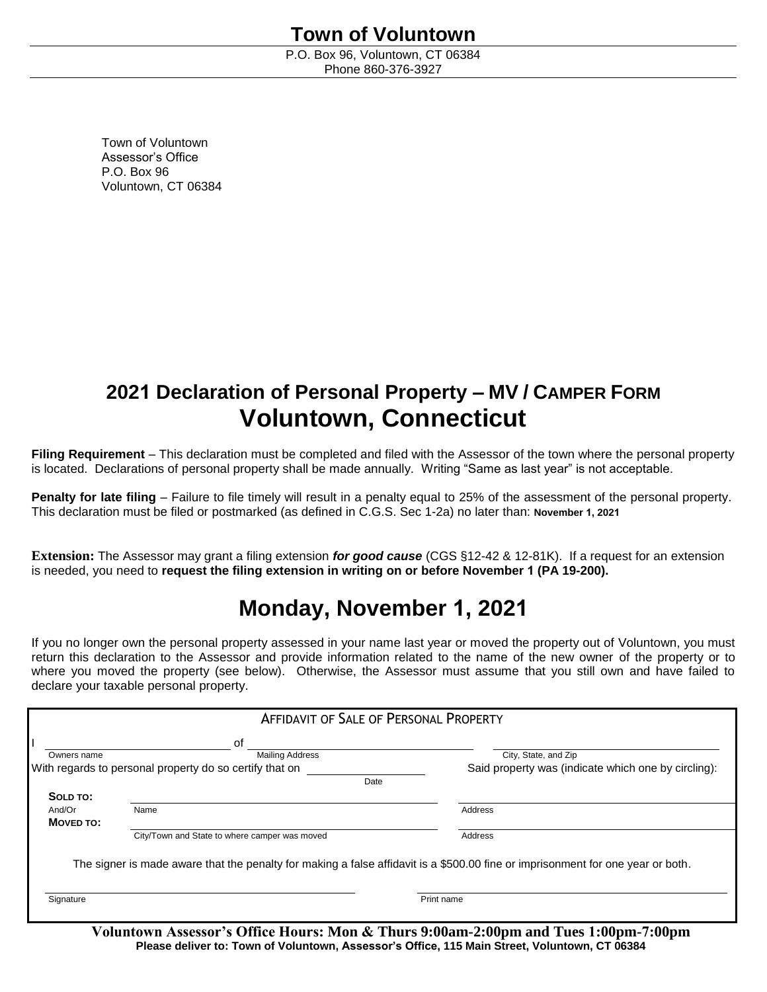P.O. Box 96, Voluntown, CT 06384 Phone 860-376-3927

Town of Voluntown Assessor's Office P.O. Box 96 Voluntown, CT 06384

## **2021 Declaration of Personal Property – MV / CAMPER FORM Voluntown, Connecticut**

**Filing Requirement** – This declaration must be completed and filed with the Assessor of the town where the personal property is located. Declarations of personal property shall be made annually. Writing "Same as last year" is not acceptable.

**Penalty for late filing** – Failure to file timely will result in a penalty equal to 25% of the assessment of the personal property. This declaration must be filed or postmarked (as defined in C.G.S. Sec 1-2a) no later than: **November 1, 2021**

**Extension:** The Assessor may grant a filing extension *for good cause* (CGS §12-42 & 12-81K). If a request for an extension is needed, you need to **request the filing extension in writing on or before November 1 (PA 19-200).**

## **Monday, November 1, 2021**

If you no longer own the personal property assessed in your name last year or moved the property out of Voluntown, you must return this declaration to the Assessor and provide information related to the name of the new owner of the property or to where you moved the property (see below). Otherwise, the Assessor must assume that you still own and have failed to declare your taxable personal property.

|             | <b>AFFIDAVIT OF SALE OF PERSONAL PROPERTY</b>           |                                                                                                                                 |
|-------------|---------------------------------------------------------|---------------------------------------------------------------------------------------------------------------------------------|
|             | οf                                                      |                                                                                                                                 |
| Owners name | <b>Mailing Address</b>                                  | City, State, and Zip                                                                                                            |
|             | With regards to personal property do so certify that on | Said property was (indicate which one by circling):                                                                             |
|             | Date                                                    |                                                                                                                                 |
| SOLD TO:    |                                                         |                                                                                                                                 |
| And/Or      | Name                                                    | Address                                                                                                                         |
| MOVED TO:   |                                                         |                                                                                                                                 |
|             | City/Town and State to where camper was moved           | Address                                                                                                                         |
|             |                                                         | The signer is made aware that the penalty for making a false affidavit is a \$500.00 fine or imprisonment for one year or both. |
|             |                                                         |                                                                                                                                 |
| Signature   |                                                         | Print name                                                                                                                      |
|             |                                                         |                                                                                                                                 |

**Voluntown Assessor's Office Hours: Mon & Thurs 9:00am-2:00pm and Tues 1:00pm-7:00pm Please deliver to: Town of Voluntown, Assessor's Office, 115 Main Street, Voluntown, CT 06384**